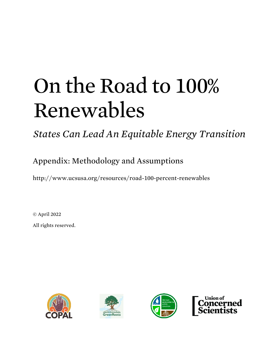# On the Road to 100% Renewables

*States Can Lead An Equitable Energy Transition* 

Appendix: Methodology and Assumptions

<http://www.ucsusa.org/resources/road-100-percent-renewables>

© April 2022

All rights reserved.







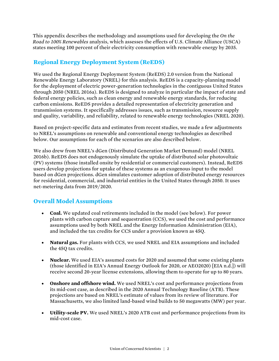This appendix describes the methodology and assumptions used for developing the *On the Road to 100% Renewables* analysis, which assesses the effects of U.S. Climate Alliance (USCA) states meeting 100 percent of their electricity consumption with renewable energy by 2035.

# **Regional Energy Deployment System (ReEDS)**

We used the Regional Energy Deployment System (ReEDS) 2.0 version from the National Renewable Energy Laboratory (NREL) for this analysis. ReEDS is a capacity-planning model for the deployment of electric power-generation technologies in the contiguous United States through 2050 (NREL 2016a). ReEDS is designed to analyze in particular the impact of state and federal energy policies, such as clean energy and renewable energy standards, for reducing carbon emissions. ReEDS provides a detailed representation of electricity generation and transmission systems. It specifically addresses issues, such as transmission, resource supply and quality, variability, and reliability, related to renewable energy technologies (NREL 2020).

Based on project-specific data and estimates from recent studies, we made a few adjustments to NREL's assumptions on renewable and conventional energy technologies as described below. Our assumptions for each of the scenarios are also described below.

We also drew from NREL's dGen (Distributed Generation Market Demand) model (NREL 2016b). ReEDS does not endogenously simulate the uptake of distributed solar photovoltaic (PV) systems (those installed onsite by residential or commercial customers). Instead, ReEDS users develop projections for uptake of these systems as an exogenous input to the model based on dGen projections. dGen simulates customer adoption of distributed energy resources for residential, commercial, and industrial entities in the United States through 2050. It uses net-metering data from 2019/2020.

# **Overall Model Assumptions**

- **Coal.** We updated coal retirements included in the model (see below). For power plants with carbon capture and sequestration (CCS), we used the cost and performance assumptions used by both NREL and the Energy Information Administration (EIA), and included the tax credits for CCS under a provision known as 45Q.
- **Natural gas.** For plants with CCS, we used NREL and EIA assumptions and included the 45Q tax credits.
- **Nuclear.** We used EIA's assumed costs for 2020 and assumed that some existing plants (those identified in EIA's Annual Energy Outlook for 2020, or AEO2020) [EIA n.d.]) will receive second 20-year license extensions, allowing them to operate for up to 80 years.
- **Onshore and offshore wind.** We used NREL's cost and performance projections from its mid-cost case, as described in the 2020 Annual Technology Baseline (ATB). These projections are based on NREL's estimate of values from its review of literature. For Massachusetts, we also limited land-based wind builds to 50 megawatts (MW) per year.
- **Utility-scale PV.** We used NREL's 2020 ATB cost and performance projections from its mid-cost case.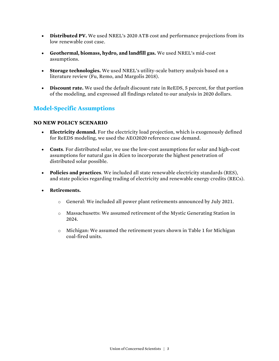- **Distributed PV.** We used NREL's 2020 ATB cost and performance projections from its low renewable cost case.
- **Geothermal, biomass, hydro, and landfill gas.** We used NREL's mid-cost assumptions.
- **Storage technologies.** We used NREL's utility-scale battery analysis based on a literature review (Fu, Remo, and Margolis 2018).
- **Discount rate.** We used the default discount rate in ReEDS, 5 percent, for that portion of the modeling, and expressed all findings related to our analysis in 2020 dollars.

# **Model-Specific Assumptions**

### **NO NEW POLICY SCENARIO**

- **Electricity demand.** For the electricity load projection, which is exogenously defined for ReEDS modeling, we used the AEO2020 reference case demand.
- **Costs**. For distributed solar, we use the low-cost assumptions for solar and high-cost assumptions for natural gas in dGen to incorporate the highest penetration of distributed solar possible.
- **Policies and practices**. We included all state renewable electricity standards (RES), and state policies regarding trading of electricity and renewable energy credits (RECs).
- **Retirements.**
	- o General: We included all power plant retirements announced by July 2021.
	- o Massachusetts: We assumed retirement of the Mystic Generating Station in 2024.
	- o Michigan: We assumed the retirement years shown in Table 1 for Michigan coal-fired units.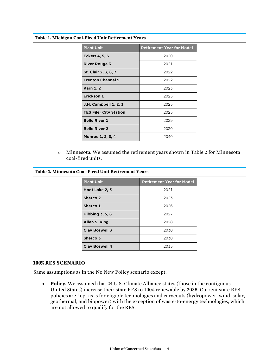#### **Table 1. Michigan Coal-Fired Unit Retirement Years**

| <b>Plant Unit</b>             | <b>Retirement Year for Model</b> |
|-------------------------------|----------------------------------|
| <b>Eckert 4, 5, 6</b>         | 2020                             |
| <b>River Rouge 3</b>          | 2021                             |
| St. Clair 2, 3, 6, 7          | 2022                             |
| <b>Trenton Channel 9</b>      | 2022                             |
| <b>Karn 1, 2</b>              | 2023                             |
| Erickson 1                    | 2025                             |
| <b>J.H. Campbell 1, 2, 3</b>  | 2025                             |
| <b>TES Filer City Station</b> | 2025                             |
| <b>Belle River 1</b>          | 2029                             |
| <b>Belle River 2</b>          | 2030                             |
| Monroe 1, 2, 3, 4             | 2040                             |

o Minnesota: We assumed the retirement years shown in Table 2 for Minnesota coal-fired units.

#### **Table 2. Minnesota Coal-Fired Unit Retirement Years**

| <b>Plant Unit</b>      | <b>Retirement Year for Model</b> |
|------------------------|----------------------------------|
| Hoot Lake 2, 3         | 2021                             |
| Sherco 2               | 2023                             |
| Sherco 1               | 2026                             |
| <b>Hibbing 3, 5, 6</b> | 2027                             |
| Allen S. King          | 2028                             |
| <b>Clay Boswell 3</b>  | 2030                             |
| Sherco 3               | 2030                             |
| <b>Clay Boswell 4</b>  | 2035                             |

#### **100% RES SCENARIO**

Same assumptions as in the No New Policy scenario except:

• **Policy.** We assumed that 24 U.S. Climate Alliance states (those in the contiguous United States) increase their state RES to 100% renewable by 2035. Current state RES policies are kept as is for eligible technologies and carveouts (hydropower, wind, solar, geothermal, and biopower) with the exception of waste-to-energy technologies, which are not allowed to qualify for the RES.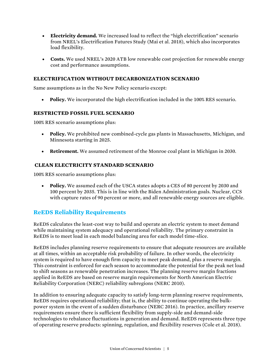- **Electricity demand.** We increased load to reflect the "high electrification" scenario from NREL's Electrification Futures Study (Mai et al. 2018), which also incorporates load flexibility.
- **Costs.** We used NREL's 2020 ATB low renewable cost projection for renewable energy cost and performance assumptions.

#### **ELECTRIFICATION WITHOUT DECARBONIZATION SCENARIO**

Same assumptions as in the No New Policy scenario except:

• **Policy.** We incorporated the high electrification included in the 100% RES scenario.

#### **RESTRICTED FOSSIL FUEL SCENARIO**

100% RES scenario assumptions plus:

- **Policy.** We prohibited new combined-cycle gas plants in Massachusetts, Michigan, and Minnesota starting in 2025.
- **Retirement.** We assumed retirement of the Monroe coal plant in Michigan in 2030.

#### **CLEAN ELECTRICITY STANDARD SCENARIO**

100% RES scenario assumptions plus:

• **Policy.** We assumed each of the USCA states adopts a CES of 80 percent by 2030 and 100 percent by 2035. This is in line with the Biden Administration goals. Nuclear, CCS with capture rates of 90 percent or more, and all renewable energy sources are eligible.

## **ReEDS Reliability Requirements**

ReEDS calculates the least-cost way to build and operate an electric system to meet demand while maintaining system adequacy and operational reliability. The primary constraint in ReEDS is to meet load in each model balancing area for each model time-slice.

ReEDS includes planning reserve requirements to ensure that adequate resources are available at all times, within an acceptable risk probability of failure. In other words, the electricity system is required to have enough firm capacity to meet peak demand, plus a reserve margin. This constraint is enforced for each season to accommodate the potential for the peak net load to shift seasons as renewable penetration increases. The planning reserve margin fractions applied in ReEDS are based on reserve margin requirements for North American Electric Reliability Corporation (NERC) reliability subregions (NERC 2010).

In addition to ensuring adequate capacity to satisfy long-term planning reserve requirements, ReEDS requires operational reliability; that is, the ability to continue operating the bulkpower system in the event of a sudden disturbance (NERC 2016). In practice, ancillary reserve requirements ensure there is sufficient flexibility from supply-side and demand-side technologies to rebalance fluctuations in generation and demand. ReEDS represents three type of operating reserve products: spinning, regulation, and flexibility reserves (Cole et al. 2018).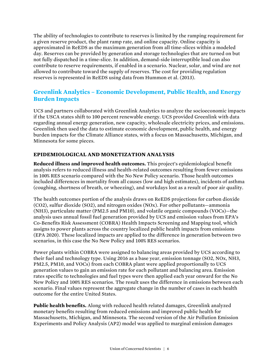The ability of technologies to contribute to reserves is limited by the ramping requirement for a given reserve product, the plant ramp rate, and online capacity. Online capacity is approximated in ReEDS as the maximum generation from all time-slices within a modeled day. Reserves can be provided by generation and storage technologies that are turned on but not fully dispatched in a time-slice. In addition, demand-side interruptible load can also contribute to reserve requirements, if enabled in a scenario. Nuclear, solar, and wind are not allowed to contribute toward the supply of reserves. The cost for providing regulation reserves is represented in ReEDS using data from Hummon et al. (2013).

# **Greenlink Analytics – Economic Development, Public Health, and Energy Burden Impacts**

UCS and partners collaborated with Greenlink Analytics to analyze the socioeconomic impacts if the USCA states shift to 100 percent renewable energy. UCS provided Greenlink with data regarding annual energy generation, new capacity, wholesale electricity prices, and emissions. Greenlink then used the data to estimate economic development, public health, and energy burden impacts for the Climate Alliance states, with a focus on Massachusetts, Michigan, and Minnesota for some pieces.

## **EPIDEMIOLOGICAL AND MONETIZATION ANALYSIS**

**Reduced illness and improved health outcomes.** This project's epidemiological benefit analysis refers to reduced illness and health-related outcomes resulting from fewer emissions in 100% RES scenario compared with the No New Policy scenario. Those health outcomes included differences in mortality from all causes (low and high estimates), incidents of asthma (coughing, shortness of breath, or wheezing), and workdays lost as a result of poor air quality.

The health outcomes portion of the analysis draws on ReEDS projections for carbon dioxide (CO2), sulfur dioxide (SO2), and nitrogen oxides (NOx). For other pollutants—ammonia (NH3), particulate matter (PM2.5 and PM10), and volatile organic compounds (VOCs)—the analysis uses annual fossil fuel generation provided by UCS and emission values from EPA's Co-Benefits Risk Assessment (COBRA) Health Impacts Screening and Mapping tool, which assigns to power plants across the country localized public health impacts from emissions (EPA 2020). These localized impacts are applied to the difference in generation between two scenarios, in this case the No New Policy and 100% RES scenarios.

Power plants within COBRA were assigned to balancing areas provided by UCS according to their fuel and technology type. Using 2016 as a base year, emission tonnage (SO2, NOx, NH3, PM2.5, PM10, and VOCs) from each COBRA plant were applied proportionally to UCS generation values to gain an emission rate for each pollutant and balancing area. Emission rates specific to technologies and fuel types were then applied each year onward for the No New Policy and 100% RES scenarios. The result uses the difference in emissions between each scenario. Final values represent the aggregate change in the number of cases in each health outcome for the entire United States.

**Public health benefits.** Along with reduced health related damages, Greenlink analyzed monetary benefits resulting from reduced emissions and improved public health for Massachusetts, Michigan, and Minnesota. The second version of the Air Pollution Emission Experiments and Policy Analysis (AP2) model was applied to marginal emission damages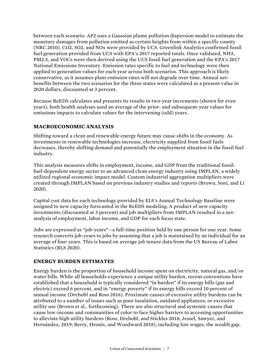between each scenario. AP2 uses a Gaussian plume pollution dispersion model to estimate the monetary damages from pollution emitted as certain heights from within a specific county (NRC 2010). CO2, SO2, and NOx were provided by UCS. Greenlink Analytics confirmed fossil fuel generation provided from UCS with EPA's 2017 reported totals. Once validated, NH3, PM2.5, and VOCs were then derived using the UCS fossil fuel generation and the EPA's 2017 National Emissions Inventory. Emission rates specific to fuel and technology were then applied to generation values for each year across both scenarios. This approach is likely conservative, as it assumes plant emission rates will not degrade over time. Annual netbenefits between the two scenarios for the three states were calculated as a present value in 2020 dollars, discounted at 3 percent.

Because ReEDS calculates and presents its results in two-year increments (shown for even years), both health analyses used an average of the prior- and subsequent-year values for emissions impacts to calculate values for the intervening (odd) years.

## **MACROECONOMIC ANALYSIS**

Shifting toward a clean and renewable energy future may cause shifts in the economy. As investments in renewable technologies increase, electricity supplied from fossil fuels decreases, thereby shifting demand and potentially the employment situation in the fossil fuel industry.

This analysis measures shifts in employment, income, and GDP from the traditional fossilfuel-dependent energy sector to an advanced clean energy industry using IMPLAN, a widely utilized regional economic impact model. Custom industrial aggregation multipliers were created through IMPLAN based on previous industry studies and reports (Brown, Soni, and Li 2020).

Capital cost data for each technology provided by EIA's Annual Technology Baseline were assigned to new capacity forecasted in the ReEDS modeling. A product of new capacity investments (discounted at 3 percent) and job multipliers from IMPLAN resulted in a netanalysis of employment, labor income, and GDP for each focus state.

Jobs are expressed as "job-years"—a full-time position held by one person for one year. Some research converts job-years to jobs by assuming that a job is maintained by an individual for an average of four years. This is based on average job tenure data from the US Bureau of Labor Statistics (BLS 2020).

#### **ENERGY BURDEN ESTIMATES**

Energy burden is the proportion of household income spent on electricity, natural gas, and/or water bills. While all households experience a unique utility burden, recent conventions have established that a household is typically considered "in burden" if its energy bills (gas and electric) exceed 6 percent, and in "energy poverty" if its energy bills exceed 10 percent of annual income (Drehobl and Ross 2016). Proximate causes of excessive utility burdens can be attributed to a number of issues such as poor insulation, outdated appliances, or excessive utility use (Brown et al., forthcoming). There are also structural and systemic causes that cause low-income and communities of color to face higher barriers to accessing opportunities to alleviate high utility burdens (Ross, Drehobl, and Stickles 2018; Jessel, Sawyer, and Hernández, 2019; Berry, Hronis, and Woodward 2018), including low wages, the wealth gap,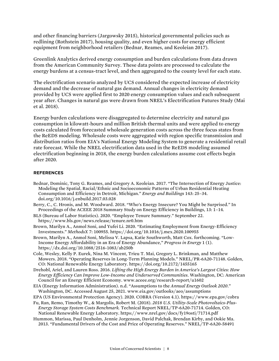and other financing barriers (Jargowsky 2015), historical governmental policies such as redlining (Rothstein 2017), housing quality, and even higher costs for energy efficient equipment from neighborhood retailers (Bednar, Reames, and Keoleian 2017).

Greenlink Analytics derived energy consumption and burden calculations from data drawn from the American Community Survey. These data points are processed to calculate the energy burdens at a census-tract level, and then aggregated to the county level for each state.

The electrification scenario analyzed by UCS considered the expected increase of electricity demand and the decrease of natural gas demand. Annual changes in electricity demand provided by UCS were applied first to 2020 energy consumption values and each subsequent year after. Changes in natural gas were drawn from NREL's Electrification Futures Study (Mai et al. 2018).

Energy burden calculations were disaggregated to determine electricity and natural gas consumption in kilowatt-hours and million British thermal units and were applied to energy costs calculated from forecasted wholesale generation costs across the three focus states from the ReEDS modeling. Wholesale costs were aggregated with region specific transmission and distribution ratios from EIA's National Energy Modeling System to generate a residential retail rate forecast. While the NREL electrification data used in the ReEDS modeling assumed electrification beginning in 2018, the energy burden calculations assume cost effects begin after 2020.

#### **REFERENCES**

Bednar, Dominic, Tony G. Reames, and Gregory A. Keoleian. 2017. "The Intersection of Energy Justice: Modeling the Spatial, Racial/Ethnic and Socioeconomic Patterns of Urban Residential Heating Consumption and Efficiency in Detroit, Michigan." *Energy and Buildings* 143: 25–34. doi.org/10.1016/j.enbuild.2017.03.028

Berry, C., C. Hronis, and M. Woodward. 2018. "Who's Energy Insecure? You Might be Surprised." In Proceedings of the ACEEE 2018 Summary Study on Energy Efficiency in Buildings, 13: 1–14.

- BLS (Bureau of Labor Statistics). 2020. "Employee Tenure Summary." September 22. https://www.bls.gov/news.release/tenure.nr0.htm
- Brown, Marilyn A., Anmol Soni, and Yufei Li. 2020. "Estimating Employment from Energy-Efficiency Investments." *MethodsX* 7: 100955. https://doi.org/10.1016/j.mex.2020.100955
- Brown, Marilyn A., Anmol Soni, Melissa V. Lapsa, Katie Southworth, Matt Cox. forthcoming. "Low-Income Energy Affordability in an Era of Energy Abundance," *Progress in Energy* 1 (1). https://dx.doi.org/10.1088/2516-1083/ab250b
- Cole, Wesley, Kelly P. Eurek, Nina M. Vincent, Trieu T. Mai, Gregory L. Brinkman, and Matthew Mowers. 2018. "Operating Reserves in Long-Term Planning Models." NREL/PR-6A20-71148. Golden, CO: National Renewable Energy Laboratory. https://doi.org/10.2172/1455165
- Drehobl, Ariel, and Lauren Ross. 2016. *Lifting the High Energy Burden in America's Largest Cities: How Energy Efficiency Can Improve Low-Income and Underserved Communities*. Washington, DC: American Council for an Energy Efficient Economy. www.aceee.org/research-report/u1602
- EIA (Energy Information Administration). n.d. "Assumptions to the *Annual Energy Outlook 2020*." Washington, DC. Accessed August 25, 2021. www.eia.gov/outlooks/aeo/assumptions

EPA (US Environmental Protection Agency). 2020. COBRA (Version 4.1). https://www.epa.gov/cobra

- Fu, Ran, Remo, Timothy W., & Margolis, Robert M. (2018). *2018 U.S. Utility-Scale Photovoltaics-Plus-Energy Storage System Costs Benchmark.* Technical Report NREL/TP-6A20-71714. Golden, CO: National Renewable Energy Laboratory. https://www.nrel.gov/docs/fy19osti/71714.pdf
- Hummon, Marissa, Paul Denholm, Jennie Jorgenson, David Palchak, Brendan Kirby, and Ookie Ma. 2013. "Fundamental Drivers of the Cost and Price of Operating Reserves." NREL/TP-6A20-58491